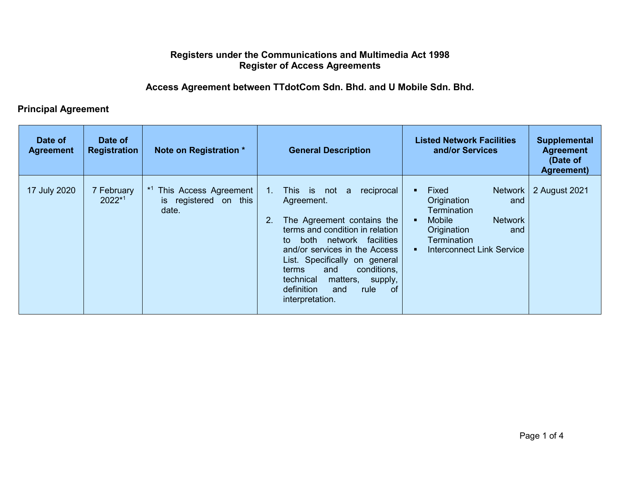## **Registers under the Communications and Multimedia Act 1998 Register of Access Agreements**

## **Access Agreement between TTdotCom Sdn. Bhd. and U Mobile Sdn. Bhd.**

## **Principal Agreement**

| Date of<br><b>Agreement</b> | Date of<br><b>Registration</b> | Note on Registration *                                            | <b>General Description</b>                                                                                                                                                                                                                                                                                                                                    | <b>Listed Network Facilities</b><br>and/or Services                                                                                                                      | <b>Supplemental</b><br><b>Agreement</b><br>(Date of<br>Agreement) |
|-----------------------------|--------------------------------|-------------------------------------------------------------------|---------------------------------------------------------------------------------------------------------------------------------------------------------------------------------------------------------------------------------------------------------------------------------------------------------------------------------------------------------------|--------------------------------------------------------------------------------------------------------------------------------------------------------------------------|-------------------------------------------------------------------|
| 17 July 2020                | 7 February<br>$2022*1$         | This Access Agreement<br>registered on this<br><b>is</b><br>date. | reciprocal<br>$1_{-}$<br>This is not<br>a<br>Agreement.<br>2.<br>The Agreement contains the<br>terms and condition in relation<br>network facilities<br>both<br>to<br>and/or services in the Access<br>List. Specifically on general<br>conditions,<br>and<br>terms<br>matters,<br>technical<br>supply,<br>of<br>definition<br>rule<br>and<br>interpretation. | Fixed<br><b>Network</b><br>Origination<br>and<br>Termination<br><b>Mobile</b><br><b>Network</b><br>Origination<br>and<br>Termination<br><b>Interconnect Link Service</b> | 2 August 2021                                                     |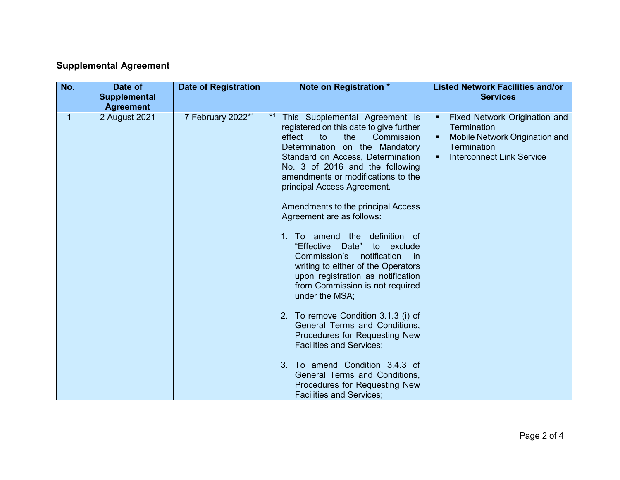## **Supplemental Agreement**

| No. | Date of<br><b>Supplemental</b><br><b>Agreement</b> | <b>Date of Registration</b> | Note on Registration *                                                                                                                                                                                                                                                                                                                                                                                                                                                                                                                                                                                                                                                                                                                                                                                                                                                                             | <b>Listed Network Facilities and/or</b><br><b>Services</b>                                                                                                     |
|-----|----------------------------------------------------|-----------------------------|----------------------------------------------------------------------------------------------------------------------------------------------------------------------------------------------------------------------------------------------------------------------------------------------------------------------------------------------------------------------------------------------------------------------------------------------------------------------------------------------------------------------------------------------------------------------------------------------------------------------------------------------------------------------------------------------------------------------------------------------------------------------------------------------------------------------------------------------------------------------------------------------------|----------------------------------------------------------------------------------------------------------------------------------------------------------------|
| 1   | 2 August 2021                                      | 7 February 2022*1           | $*1$<br>This Supplemental Agreement is<br>registered on this date to give further<br>Commission<br>effect<br>to<br>the<br>Determination on the Mandatory<br>Standard on Access, Determination<br>No. 3 of 2016 and the following<br>amendments or modifications to the<br>principal Access Agreement.<br>Amendments to the principal Access<br>Agreement are as follows:<br>To amend the<br>definition of<br>$1_{-}$<br>"Effective<br>Date"<br>exclude<br>to<br>Commission's<br>notification<br>-in<br>writing to either of the Operators<br>upon registration as notification<br>from Commission is not required<br>under the MSA;<br>2. To remove Condition 3.1.3 (i) of<br>General Terms and Conditions.<br>Procedures for Requesting New<br><b>Facilities and Services;</b><br>To amend Condition 3.4.3 of<br>3 <sub>1</sub><br>General Terms and Conditions,<br>Procedures for Requesting New | Fixed Network Origination and<br>٠<br><b>Termination</b><br>Mobile Network Origination and<br>٠<br><b>Termination</b><br><b>Interconnect Link Service</b><br>٠ |
|     |                                                    |                             | <b>Facilities and Services:</b>                                                                                                                                                                                                                                                                                                                                                                                                                                                                                                                                                                                                                                                                                                                                                                                                                                                                    |                                                                                                                                                                |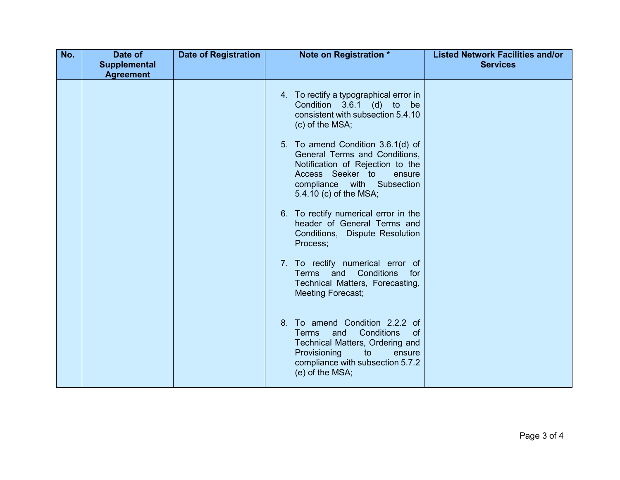| No. | Date of             | <b>Date of Registration</b> | Note on Registration *                                                                                                                                                                                  | <b>Listed Network Facilities and/or</b> |
|-----|---------------------|-----------------------------|---------------------------------------------------------------------------------------------------------------------------------------------------------------------------------------------------------|-----------------------------------------|
|     | <b>Supplemental</b> |                             |                                                                                                                                                                                                         | <b>Services</b>                         |
|     | <b>Agreement</b>    |                             |                                                                                                                                                                                                         |                                         |
|     |                     |                             | 4. To rectify a typographical error in<br>Condition 3.6.1 (d) to be<br>consistent with subsection 5.4.10<br>(c) of the MSA;                                                                             |                                         |
|     |                     |                             | 5. To amend Condition 3.6.1(d) of<br>General Terms and Conditions,<br>Notification of Rejection to the<br>Access Seeker to<br>ensure<br>compliance with Subsection<br>5.4.10 (c) of the MSA;            |                                         |
|     |                     |                             | 6. To rectify numerical error in the<br>header of General Terms and<br>Conditions, Dispute Resolution<br>Process;                                                                                       |                                         |
|     |                     |                             | 7. To rectify numerical error of<br>Conditions<br>Terms and<br>for<br>Technical Matters, Forecasting,<br><b>Meeting Forecast;</b>                                                                       |                                         |
|     |                     |                             | 8. To amend Condition 2.2.2 of<br>Conditions<br>Terms<br>and<br><sub>of</sub><br>Technical Matters, Ordering and<br>Provisioning<br>to<br>ensure<br>compliance with subsection 5.7.2<br>(e) of the MSA; |                                         |